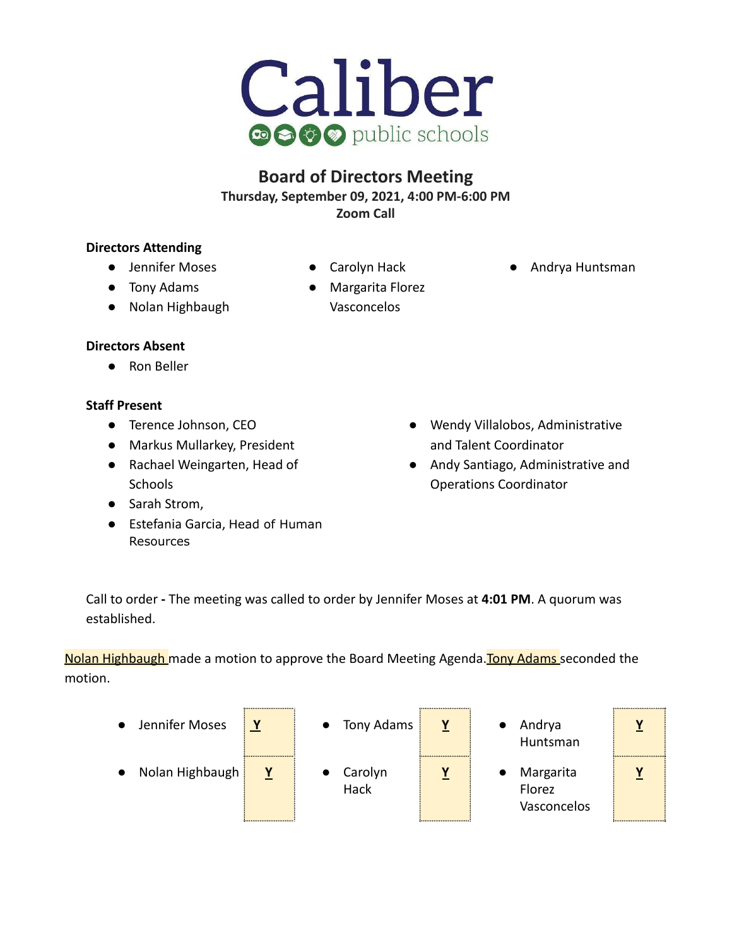

# **Board of Directors Meeting Thursday, September 09, 2021, 4:00 PM-6:00 PM Zoom Call**

## **Directors Attending**

- **●** Jennifer Moses
	-
- Tony Adams
- Nolan Highbaugh
- Carolyn Hack
- Margarita Florez Vasconcelos
- Andrya Huntsman

## **Directors Absent**

● Ron Beller

## **Staff Present**

- Terence Johnson, CEO
- Markus Mullarkey, President
- Rachael Weingarten, Head of **Schools**
- Sarah Strom,
- Estefania Garcia, Head of Human Resources
- Wendy Villalobos, Administrative and Talent Coordinator
- Andy Santiago, Administrative and Operations Coordinator

Call to order **-** The meeting was called to order by Jennifer Moses at **4:01 PM**. A quorum was established.

Nolan Highbaugh made a motion to approve the Board Meeting Agenda. Tony Adams seconded the motion.

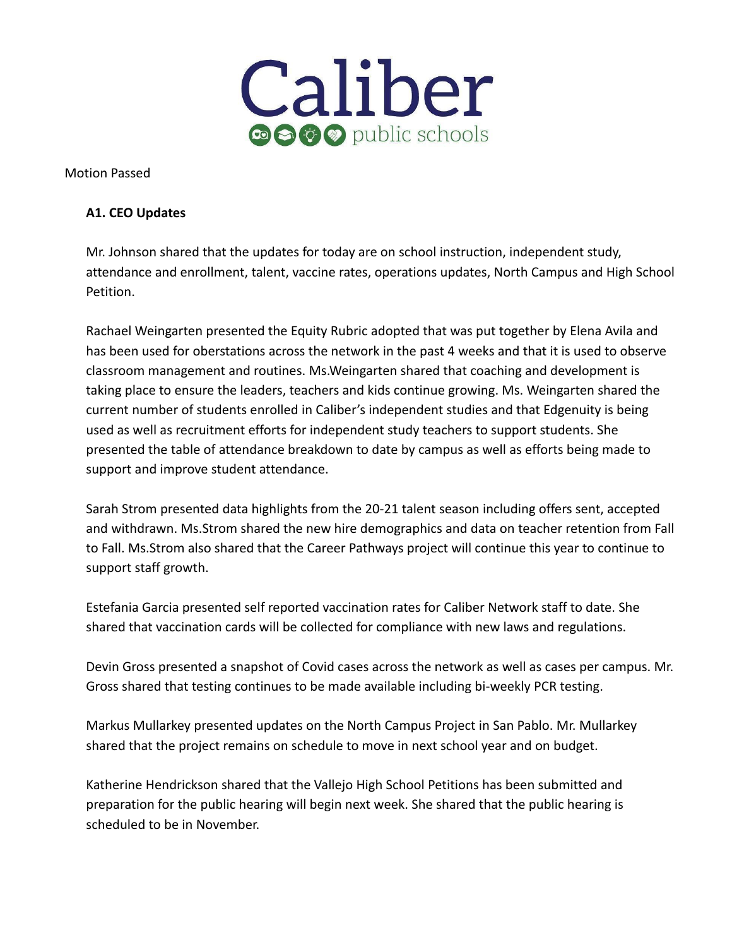

Motion Passed

### **A1. CEO Updates**

Mr. Johnson shared that the updates for today are on school instruction, independent study, attendance and enrollment, talent, vaccine rates, operations updates, North Campus and High School Petition.

Rachael Weingarten presented the Equity Rubric adopted that was put together by Elena Avila and has been used for oberstations across the network in the past 4 weeks and that it is used to observe classroom management and routines. Ms.Weingarten shared that coaching and development is taking place to ensure the leaders, teachers and kids continue growing. Ms. Weingarten shared the current number of students enrolled in Caliber's independent studies and that Edgenuity is being used as well as recruitment efforts for independent study teachers to support students. She presented the table of attendance breakdown to date by campus as well as efforts being made to support and improve student attendance.

Sarah Strom presented data highlights from the 20-21 talent season including offers sent, accepted and withdrawn. Ms.Strom shared the new hire demographics and data on teacher retention from Fall to Fall. Ms.Strom also shared that the Career Pathways project will continue this year to continue to support staff growth.

Estefania Garcia presented self reported vaccination rates for Caliber Network staff to date. She shared that vaccination cards will be collected for compliance with new laws and regulations.

Devin Gross presented a snapshot of Covid cases across the network as well as cases per campus. Mr. Gross shared that testing continues to be made available including bi-weekly PCR testing.

Markus Mullarkey presented updates on the North Campus Project in San Pablo. Mr. Mullarkey shared that the project remains on schedule to move in next school year and on budget.

Katherine Hendrickson shared that the Vallejo High School Petitions has been submitted and preparation for the public hearing will begin next week. She shared that the public hearing is scheduled to be in November.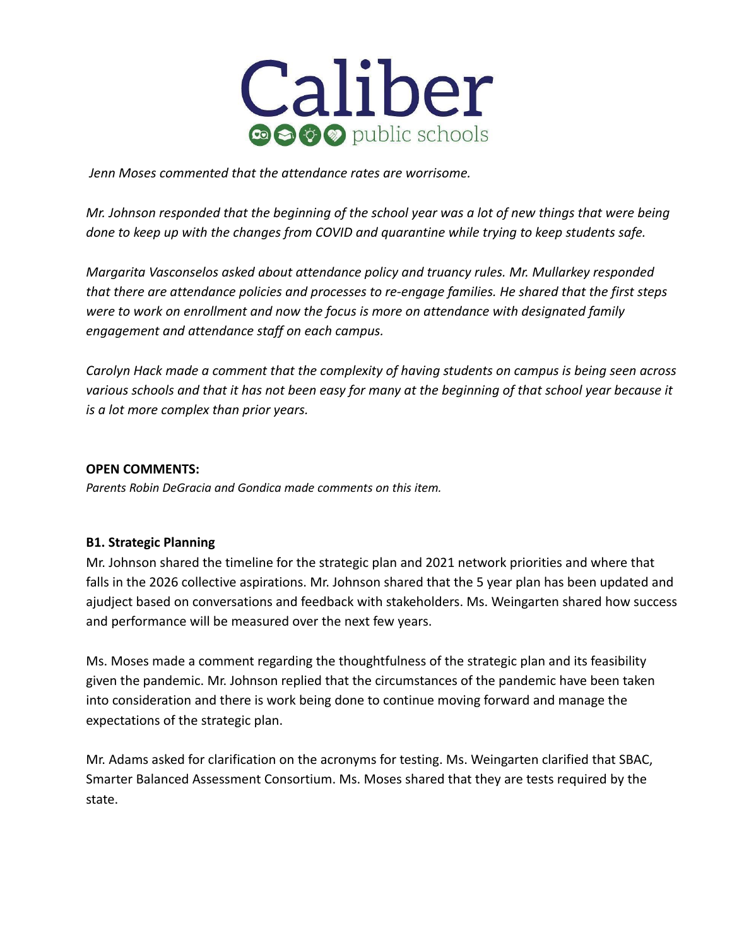

*Jenn Moses commented that the attendance rates are worrisome.*

*Mr. Johnson responded that the beginning of the school year was a lot of new things that were being done to keep up with the changes from COVID and quarantine while trying to keep students safe.*

*Margarita Vasconselos asked about attendance policy and truancy rules. Mr. Mullarkey responded that there are attendance policies and processes to re-engage families. He shared that the first steps were to work on enrollment and now the focus is more on attendance with designated family engagement and attendance staff on each campus.*

*Carolyn Hack made a comment that the complexity of having students on campus is being seen across various schools and that it has not been easy for many at the beginning of that school year because it is a lot more complex than prior years.*

#### **OPEN COMMENTS:**

*Parents Robin DeGracia and Gondica made comments on this item.*

#### **B1. Strategic Planning**

Mr. Johnson shared the timeline for the strategic plan and 2021 network priorities and where that falls in the 2026 collective aspirations. Mr. Johnson shared that the 5 year plan has been updated and ajudject based on conversations and feedback with stakeholders. Ms. Weingarten shared how success and performance will be measured over the next few years.

Ms. Moses made a comment regarding the thoughtfulness of the strategic plan and its feasibility given the pandemic. Mr. Johnson replied that the circumstances of the pandemic have been taken into consideration and there is work being done to continue moving forward and manage the expectations of the strategic plan.

Mr. Adams asked for clarification on the acronyms for testing. Ms. Weingarten clarified that SBAC, Smarter Balanced Assessment Consortium. Ms. Moses shared that they are tests required by the state.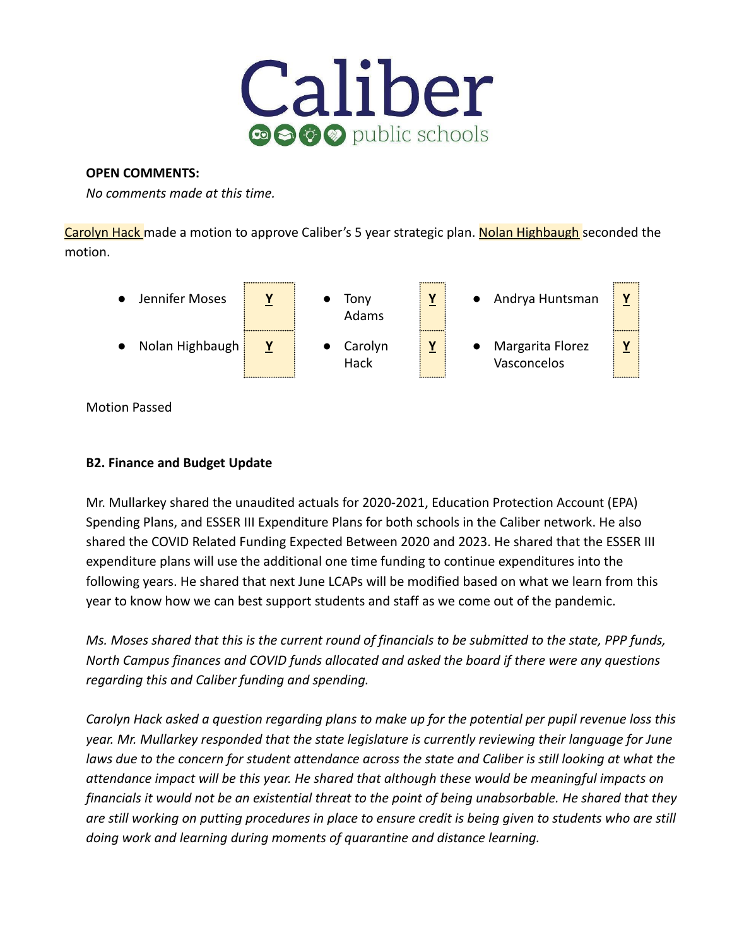

#### **OPEN COMMENTS:**

*No comments made at this time.*

Carolyn Hack made a motion to approve Caliber's 5 year strategic plan. Nolan Highbaugh seconded the motion.



Motion Passed

## **B2. Finance and Budget Update**

Mr. Mullarkey shared the unaudited actuals for 2020-2021, Education Protection Account (EPA) Spending Plans, and ESSER III Expenditure Plans for both schools in the Caliber network. He also shared the COVID Related Funding Expected Between 2020 and 2023. He shared that the ESSER III expenditure plans will use the additional one time funding to continue expenditures into the following years. He shared that next June LCAPs will be modified based on what we learn from this year to know how we can best support students and staff as we come out of the pandemic.

*Ms. Moses shared that this is the current round of financials to be submitted to the state, PPP funds, North Campus finances and COVID funds allocated and asked the board if there were any questions regarding this and Caliber funding and spending.*

*Carolyn Hack asked a question regarding plans to make up for the potential per pupil revenue loss this year. Mr. Mullarkey responded that the state legislature is currently reviewing their language for June laws due to the concern for student attendance across the state and Caliber is still looking at what the attendance impact will be this year. He shared that although these would be meaningful impacts on financials it would not be an existential threat to the point of being unabsorbable. He shared that they are still working on putting procedures in place to ensure credit is being given to students who are still doing work and learning during moments of quarantine and distance learning.*